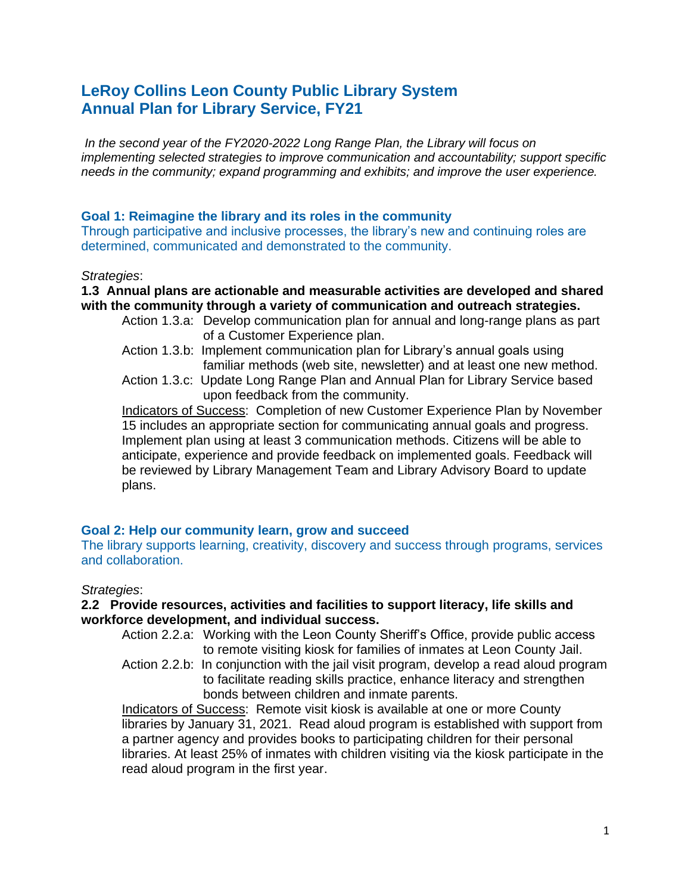# **LeRoy Collins Leon County Public Library System Annual Plan for Library Service, FY21**

*In the second year of the FY2020-2022 Long Range Plan, the Library will focus on implementing selected strategies to improve communication and accountability; support specific needs in the community; expand programming and exhibits; and improve the user experience.*

### **Goal 1: Reimagine the library and its roles in the community**

Through participative and inclusive processes, the library's new and continuing roles are determined, communicated and demonstrated to the community.

#### *Strategies*:

#### **1.3 Annual plans are actionable and measurable activities are developed and shared with the community through a variety of communication and outreach strategies.**

- Action 1.3.a: Develop communication plan for annual and long-range plans as part of a Customer Experience plan.
- Action 1.3.b: Implement communication plan for Library's annual goals using familiar methods (web site, newsletter) and at least one new method.
- Action 1.3.c: Update Long Range Plan and Annual Plan for Library Service based upon feedback from the community.

Indicators of Success: Completion of new Customer Experience Plan by November 15 includes an appropriate section for communicating annual goals and progress. Implement plan using at least 3 communication methods. Citizens will be able to anticipate, experience and provide feedback on implemented goals. Feedback will be reviewed by Library Management Team and Library Advisory Board to update plans.

### **Goal 2: Help our community learn, grow and succeed**

The library supports learning, creativity, discovery and success through programs, services and collaboration.

### *Strategies*:

#### **2.2 Provide resources, activities and facilities to support literacy, life skills and workforce development, and individual success.**

- Action 2.2.a: Working with the Leon County Sheriff's Office, provide public access to remote visiting kiosk for families of inmates at Leon County Jail.
- Action 2.2.b: In conjunction with the jail visit program, develop a read aloud program to facilitate reading skills practice, enhance literacy and strengthen bonds between children and inmate parents.

Indicators of Success: Remote visit kiosk is available at one or more County libraries by January 31, 2021. Read aloud program is established with support from a partner agency and provides books to participating children for their personal libraries. At least 25% of inmates with children visiting via the kiosk participate in the read aloud program in the first year.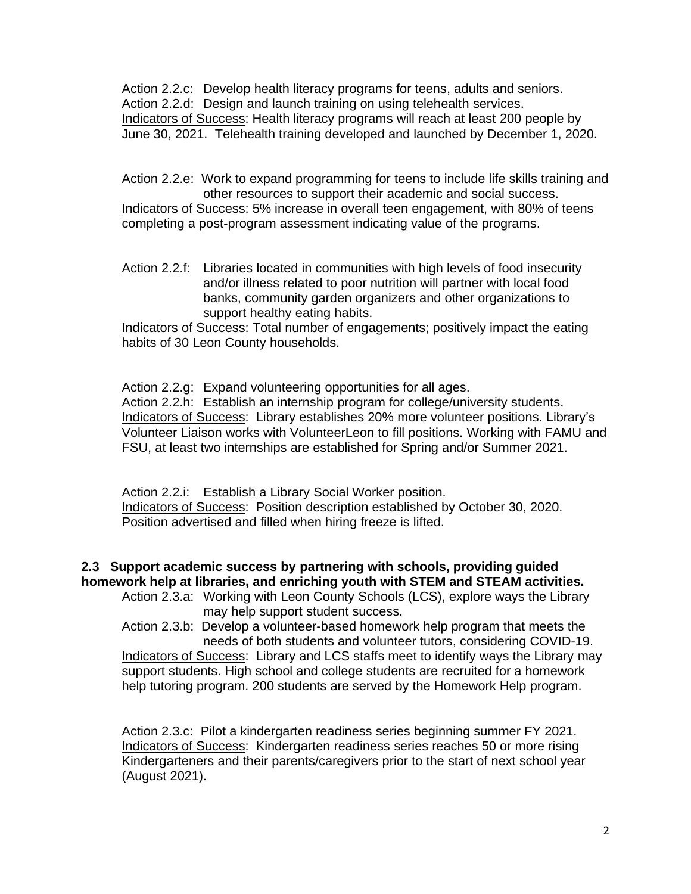Action 2.2.c: Develop health literacy programs for teens, adults and seniors. Action 2.2.d: Design and launch training on using telehealth services. Indicators of Success: Health literacy programs will reach at least 200 people by June 30, 2021. Telehealth training developed and launched by December 1, 2020.

Action 2.2.e: Work to expand programming for teens to include life skills training and other resources to support their academic and social success.

Indicators of Success: 5% increase in overall teen engagement, with 80% of teens completing a post-program assessment indicating value of the programs.

Action 2.2.f: Libraries located in communities with high levels of food insecurity and/or illness related to poor nutrition will partner with local food banks, community garden organizers and other organizations to support healthy eating habits.

Indicators of Success: Total number of engagements; positively impact the eating habits of 30 Leon County households.

Action 2.2.g: Expand volunteering opportunities for all ages.

Action 2.2.h: Establish an internship program for college/university students. Indicators of Success: Library establishes 20% more volunteer positions. Library's Volunteer Liaison works with VolunteerLeon to fill positions. Working with FAMU and FSU, at least two internships are established for Spring and/or Summer 2021.

Action 2.2.i: Establish a Library Social Worker position. Indicators of Success: Position description established by October 30, 2020. Position advertised and filled when hiring freeze is lifted.

# **2.3 Support academic success by partnering with schools, providing guided homework help at libraries, and enriching youth with STEM and STEAM activities.**

Action 2.3.a: Working with Leon County Schools (LCS), explore ways the Library may help support student success.

Action 2.3.b: Develop a volunteer-based homework help program that meets the needs of both students and volunteer tutors, considering COVID-19. Indicators of Success: Library and LCS staffs meet to identify ways the Library may support students. High school and college students are recruited for a homework help tutoring program. 200 students are served by the Homework Help program.

Action 2.3.c: Pilot a kindergarten readiness series beginning summer FY 2021. Indicators of Success: Kindergarten readiness series reaches 50 or more rising Kindergarteners and their parents/caregivers prior to the start of next school year (August 2021).